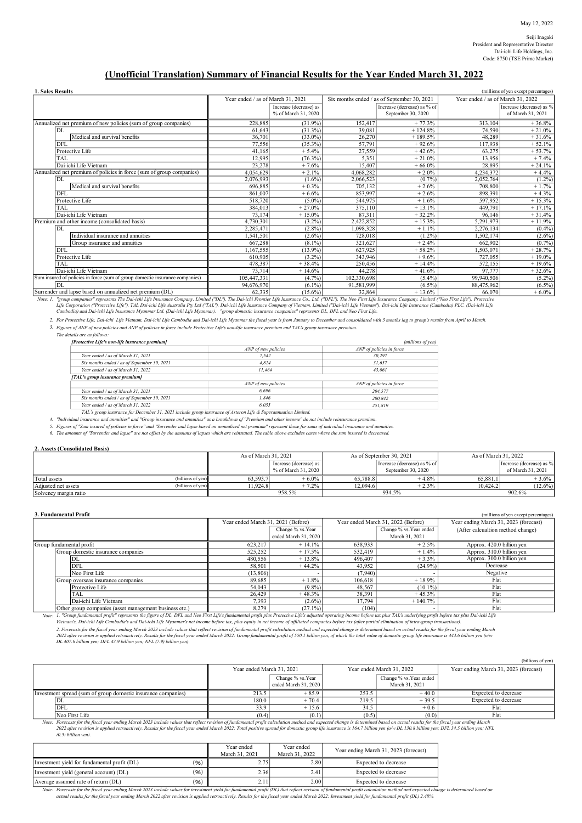## (Unofficial Translation) Summary of Financial Results for the Year Ended March 31, 2022

| 1. Sales Resu |  |
|---------------|--|

| 1. Sales Results                                                             |                                   |                                               |             |                                                   |                                   | (millions of yen except percentages)          |
|------------------------------------------------------------------------------|-----------------------------------|-----------------------------------------------|-------------|---------------------------------------------------|-----------------------------------|-----------------------------------------------|
|                                                                              | Year ended / as of March 31, 2021 |                                               |             | Six months ended / as of September 30, 2021       | Year ended / as of March 31, 2022 |                                               |
|                                                                              |                                   | Increase (decrease) as<br>% of March 31, 2020 |             | Increase (decrease) as % of<br>September 30, 2020 |                                   | Increase (decrease) as %<br>of March 31, 2021 |
| Annualized net premium of new policies (sum of group companies)              | 228,885                           | $(31.9\%)$                                    | 152,417     | $+77.3%$                                          | 313.104                           | $+36.8%$                                      |
| IDI.                                                                         | 61.643                            | (31.3%)                                       | 39,081      | $+124.8%$                                         | 74.590                            | $+21.0%$                                      |
| Medical and survival benefits                                                | 36,701                            | $(33.0\%)$                                    | 26,270      | $+189.5%$                                         | 48,289                            | $+31.6%$                                      |
| DFL                                                                          | 77.556                            | $(35.3\%)$                                    | 57,791      | $+92.6%$                                          | 117.938                           | $+52.1%$                                      |
| Protective Life                                                              | 41.165                            | $+5.4%$                                       | 27,559      | $+42.6%$                                          | 63,275                            | $+53.7%$                                      |
| TAI.                                                                         | 12.995                            | $(76.3\%)$                                    | 5.351       | $+21.0%$                                          | 13.956                            | $+7.4%$                                       |
| Dai-ichi Life Vietnam                                                        | 23,278                            | $+7.6%$                                       | 15,407      | $+66.0%$                                          | 28,895                            | $+24.1%$                                      |
| Annualized net premium of policies in force (sum of group companies)         | 4,054,629                         | $+2.1%$                                       | 4,068,282   | $+2.0%$                                           | 4,234,372                         | $+4.4%$                                       |
| DL                                                                           | 2.076.993                         | $(1.6\%)$                                     | 2.066.523   | $(0.7\%)$                                         | 2,052,764                         | $(1.2\%)$                                     |
| Medical and survival benefits                                                | 696,885                           | $+0.3%$                                       | 705,132     | $+2.6%$                                           | 708,800                           | $+1.7%$                                       |
| DFL                                                                          | 861,007                           | $+6.6%$                                       | 853.997     | $+2.6%$                                           | 898.391                           | $+4.3%$                                       |
| Protective Life                                                              | 518,720                           | $(5.0\%)$                                     | 544,975     | $+1.6%$                                           | 597,952                           | $+15.3%$                                      |
| TAL                                                                          | 384,013                           | $+27.0%$                                      | 375,110     | $+13.1%$                                          | 449.791                           | $+17.1%$                                      |
| Dai-ichi Life Vietnam                                                        | 73,174                            | $+15.0%$                                      | 87.311      | $+32.2%$                                          | 96.146                            | $+31.4%$                                      |
| Premium and other income (consolidated basis)                                | 4,730,301                         | $(3.2\%)$                                     | 2.422.852   | $+15.3%$                                          | 5,291,973                         | $+11.9%$                                      |
| DL                                                                           | 2.285.471                         | $(2.8\%)$                                     | 1.098.328   | $+1.1%$                                           | 2.276.134                         | $(0.4\%)$                                     |
| Individual insurance and annuities                                           | .541,501                          | $(2.6\%)$                                     | 728,018     | $(1.2\%)$                                         | 1,502,174                         | $(2.6\%)$                                     |
| Group insurance and annuities                                                | 667.288                           | $(8.1\%)$                                     | 321.627     | $+2.4%$                                           | 662,902                           | $(0.7\%)$                                     |
| DFL                                                                          | 1.167.555                         | $(13.9\%)$                                    | 627,925     | $+58.2%$                                          | 1.503.071                         | $+28.7%$                                      |
| Protective Life                                                              | 610,905                           | $(3.2\%)$                                     | 343,946     | $+9.6%$                                           | 727,055                           | $+19.0\%$                                     |
| TAI.                                                                         | 478,387                           | $+38.4%$                                      | 250,456     | $+14.4%$                                          | 572,155                           | $+19.6%$                                      |
| Dai-ichi Life Vietnam                                                        | 73,714                            | $+14.6%$                                      | 44,278      | $+41.6%$                                          | 97,777                            | $+32.6%$                                      |
| Sum insured of policies in force (sum of group domestic insurance companies) | 105,447,331                       | $(4.7\%)$                                     | 102,330,698 | $(5.4\%)$                                         | 99,940,506                        | $(5.2\%)$                                     |
| DL                                                                           | 94,676,970                        | $(6.1\%)$                                     | 91,581,999  | $(6.5\%)$                                         | 88,475,962                        | $(6.5\%)$                                     |
| Surrender and lance based on annualized net premium (DL)                     | 62.225                            | (15.602)                                      | 22.964      | $+ 12.602$                                        | 66.070                            | $\pm 6.09$                                    |

Surrender and lapse based on annualized net premium (DL)<br>Note: 1. "group companies" represents The Dai-ichi Life Insurance Company, Limited ("DL"), The Dai-ichi Frontier Life Insurance Co., Ltd. ("DFL"), The Neo First Lif

2. For Protective Life, Dai-ichi Life Vietnam, Dai-ichi Life Cambodia and Dai-ichi Life Myanmar the fiscal year is from January to December and consoildated with 3 months lag to group's results from April to March.

3. Figures of ANP of new policies and ANP of policies in force include Protective Life's non-life insurance premium and TAL's group insurance premium.

The details are as follows:

| [Protective Life's non-life insurance premium]<br>(millions of yen)                                          |                     |                          |  |  |  |
|--------------------------------------------------------------------------------------------------------------|---------------------|--------------------------|--|--|--|
|                                                                                                              | ANP of new policies | ANP of policies in force |  |  |  |
| Year ended / as of March 31, 2021                                                                            | 7.542               | 30.297                   |  |  |  |
| Six months ended / as of September 30, 2021                                                                  | 4.824               | 31.657                   |  |  |  |
| Year ended / as of March 31, 2022                                                                            | 11.464              | 43.061                   |  |  |  |
| [TAL's group insurance premium]                                                                              |                     |                          |  |  |  |
|                                                                                                              | ANP of new policies | ANP of policies in force |  |  |  |
| Year ended / as of March 31, 2021                                                                            | 6.696               | 204.577                  |  |  |  |
| Six months ended / as of September 30, 2021                                                                  | 1.846               | 200.842                  |  |  |  |
| Year ended / as of March 31, 2022                                                                            | 6.055               | 251.819                  |  |  |  |
| TAL's group insurance for December 31, 2021 include group insurance of Asteron Life & Superannuation Limited |                     |                          |  |  |  |

TAL's group insurance for December 31, 2021 include group insurance of Asteron Life & Superannuation Limited.<br>4. "Individual insurance and amnuities" and "Group insurance and annuities" as a breakdown of "Premium mad other

6. The amounts of "Surrender and lapse" are not offset by the amounts of lapses which are reinstated. The table above excludes cases where the sum insured is decreased.

#### 2. Assets (Consolidated Basis)

|                       |                           | As of March 31, 2021 |                        | As of September 30, 2021 |                             | As of March 31, 2022 |                          |
|-----------------------|---------------------------|----------------------|------------------------|--------------------------|-----------------------------|----------------------|--------------------------|
|                       |                           |                      | Increase (decrease) as |                          | Increase (decrease) as % of |                      | Increase (decrease) as % |
|                       |                           |                      | % of March 31, 2020    |                          | September 30, 2020          |                      | of March 31, 2021        |
| Total assets          | $\left($ billions of yen) | 63.593.7             | $+6.0\%$               | 65,788.8                 | $+4.8%$                     | 65,881.1             | $+3.6\%$                 |
| Adjusted net assets   | (billions of yen)         | 11.924.8             | $+7.2%$                | 12.094.6                 | $+2.3%$                     | 10.424.2             | $(12.6\%)$               |
| Solvency margin ratio |                           |                      | 958.5%                 |                          | 934.5%                      |                      | 902.6%                   |

| 3. Fundamental Profit                                           |                                    |                      |                                    |                         | (millions of yen except percentages)  |
|-----------------------------------------------------------------|------------------------------------|----------------------|------------------------------------|-------------------------|---------------------------------------|
|                                                                 | Year ended March 31, 2021 (Before) |                      | Year ended March 31, 2022 (Before) |                         | Year ending March 31, 2023 (forecast) |
|                                                                 |                                    | Change % vs.Year     |                                    | Change % vs. Year ended | (After calcualtion method change)     |
|                                                                 |                                    | ended March 31, 2020 |                                    | March 31, 2021          |                                       |
| Group fundamental profit                                        | 623.217                            | $+14.1%$             | 638,933                            | $+2.5%$                 | Approx. 420.0 billion yen             |
| Group domestic insurance companies                              | 525.252                            | $+17.5%$             | 532,419                            | $+1.4%$                 | Approx. 310.0 billion yen             |
| DL                                                              | 480,556                            | $+13.8%$             | 496,407                            | $+3.3%$                 | Approx. 300.0 billion yen             |
| <b>DFL</b>                                                      | 58.501                             | $+44.2%$             | 43.952                             | $(24.9\%)$              | Decrease                              |
| Neo First Life                                                  | (13,806)                           |                      | (7.940)                            |                         | Negative                              |
| Group overseas insurance companies                              | 89.685                             | $+1.8%$              | 106,618                            | $+18.9%$                | Flat                                  |
| Protective Life                                                 | 54,043                             | $(9.8\%)$            | 48,567                             | $(10.1\%)$              | Flat                                  |
| TAL                                                             | 26,429                             | $+48.3%$             | 38.391                             | $+45.3%$                | Flat                                  |
| Dai-ichi Life Vietnam                                           | 7.393                              | $(2.6\%)$            | 17.794                             | $+140.7%$               | Flat                                  |
| $\Omega$ Other group companies (asset management business etc.) | 8.270                              | (2710)               | (104)                              |                         | Flat                                  |

Other group companies (asset management business etc.)<br>1. "Group fundamental profit" represents the figure of DL, DFL and Neo First Life's fundamental profit plus Protective Life's adjusted operating income before tax plus Note: Vietnam's, Dai-ichi Life Cambodia's and Dai-ichi Life Myanmar's net income before tax, plus equity in net income of affiliated companies before tax (after partial elimination of intra-group transactions).

2. Forecasts for the fiscal year ending March 2023 include values that reflect revision of fundamental profit calculation method and expected change is determined based on actual results for the fiscal year ending March<br>20 DL 407.6 billion yen; DFL 43.9 billion yen; NFL (7.9) billion yen).

|                                                                               |                                                                    |                                           |                           |                                           | (billions of yen)                     |
|-------------------------------------------------------------------------------|--------------------------------------------------------------------|-------------------------------------------|---------------------------|-------------------------------------------|---------------------------------------|
|                                                                               | Year ended March 31, 2021                                          |                                           | Year ended March 31, 2022 |                                           | Year ending March 31, 2023 (forecast) |
|                                                                               |                                                                    | Change % vs. Year<br>ended March 31, 2020 |                           | Change % vs. Year ended<br>March 31, 2021 |                                       |
| Investment spread (sum of group domestic insurance companies)                 | 213.5                                                              | $+85.9$                                   | 253.5                     | $+40.0$                                   | Expected to decrease                  |
| IDL                                                                           | 180.0                                                              | $+70.4$                                   | 219.5                     | $+39.5$                                   | Expected to decrease                  |
| <b>IDFL</b>                                                                   | 33.9                                                               | $+15.6$                                   | 34.5                      | $+0.6$                                    | Flat                                  |
| Neo First Life<br>$\mathbf{a}$ , and the set of $\mathbf{a}$ and $\mathbf{a}$ | (0.4)<br>$\sim$ $\sim$ $\sim$ $\sim$<br>$\cdots$ $\cdots$ $\cdots$ | (0.1)                                     | (0.5)                     | (0.0)<br>$\cdots$ $\cdots$                | Flat                                  |

Note: Forecasts for the fiscal year ending March 2023 include values that reflect revision of fundamental profit calculation method and expected change is determined based on actual results for the fiscal year ending March (0.5) billion yen).

|                                              |      | Year ended<br>March 31, 2021 | Year ended<br>March 31, 2022 | Year ending March 31, 2023 (forecast) |
|----------------------------------------------|------|------------------------------|------------------------------|---------------------------------------|
| Investment vield for fundamental profit (DL) | (96) | 2.75                         | 2.80                         | Expected to decrease                  |
| Investment yield (general account) (DL)      | (96) | 2.36                         | 2.41                         | Expected to decrease                  |
| Average assumed rate of return (DL)          | (96) | 2.11                         | 2.00 <sub>l</sub>            | Expected to decrease                  |

Note: Forecasts for the fiscal year ending March 2023 include values for investment yeld for fundamental profit (DL) that reflect revision of fundamental profit calculation method and expected change is determined based on<br>actua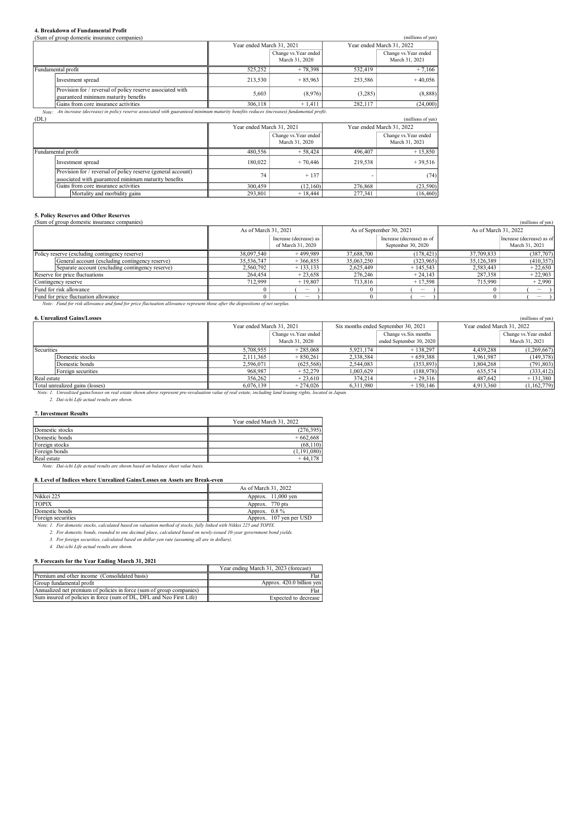## 4. Breakdown of Fundamental Profit

|                    | (Sum of group domestic insurance companies)                                                                                           |                           |                       |         | (millions of yen)         |
|--------------------|---------------------------------------------------------------------------------------------------------------------------------------|---------------------------|-----------------------|---------|---------------------------|
|                    |                                                                                                                                       | Year ended March 31, 2021 |                       |         | Year ended March 31, 2022 |
|                    |                                                                                                                                       |                           | Change vs. Year ended |         | Change vs. Year ended     |
|                    |                                                                                                                                       |                           | March 31, 2020        |         | March 31, 2021            |
| Fundamental profit |                                                                                                                                       | 525.252                   | $+78.398$             | 532,419 | $+7.166$                  |
|                    | Investment spread                                                                                                                     | 213.530                   | $+85.963$             | 253,586 | $+40.056$                 |
|                    | Provision for / reversal of policy reserve associated with<br>guaranteed minimum maturity benefits                                    | 5.603                     | (8,976)               | (3,285) | (8,888)                   |
|                    | Gains from core insurance activities                                                                                                  | 306,118                   | $+1.411$              | 282,117 | (24,000)                  |
| Note:              | An increase (decrease) in policy reserve associated with guaranteed minimum maturity benefits reduces (increases) fundamental profit. |                           |                       |         |                           |
| (T <sub>N</sub> )  |                                                                                                                                       |                           |                       |         |                           |

| (DL)                                                                                                                 |                           |                                         |         | (millions of yen)                       |
|----------------------------------------------------------------------------------------------------------------------|---------------------------|-----------------------------------------|---------|-----------------------------------------|
|                                                                                                                      | Year ended March 31, 2021 |                                         |         | Year ended March 31, 2022               |
|                                                                                                                      |                           | Change vs. Year ended<br>March 31, 2020 |         | Change vs. Year ended<br>March 31, 2021 |
| Fundamental profit                                                                                                   | 480,556                   | $+58,424$                               | 496,407 | $+15,850$                               |
| Investment spread                                                                                                    | 180,022                   | $+70,446$                               | 219.538 | $+39.516$                               |
| Provision for / reversal of policy reserve (general account)<br>associated with guaranteed minimum maturity benefits | 74                        | $+137$                                  |         | (74)                                    |
| Gains from core insurance activities                                                                                 | 300,459                   | (12.160)                                | 276,868 | (23,590)                                |
| Mortality and morbidity gains                                                                                        | 293,801                   | $+18,444$                               | 277,341 | (16, 460)                               |

# 5. Policy Reserves and Other Reserves

| (Sum of group domestic insurance companies)      |                      |                                 |                          |                           |                      | (millions of yen)         |
|--------------------------------------------------|----------------------|---------------------------------|--------------------------|---------------------------|----------------------|---------------------------|
|                                                  | As of March 31, 2021 |                                 | As of September 30, 2021 |                           | As of March 31, 2022 |                           |
|                                                  |                      | Increase (decrease) as          |                          | Increase (decrease) as of |                      | Increase (decrease) as of |
|                                                  |                      | of March 31, 2020               |                          | September 30, 2020        |                      | March 31, 2021            |
| Policy reserve (excluding contingency reserve)   | 38,097,540           | $+499.989$                      | 37,688,700               | (178, 421)                | 37,709,833           | (387,707)                 |
| General account (excluding contingency reserve)  | 35,536,747           | $+366.855$                      | 35,063,250               | (323,965)                 | 35,126,389           | (410, 357)                |
| Separate account (excluding contingency reserve) | 2.560.792            | $+133.133$                      | 2.625,449                | $+145.543$                | 2.583,443            | $+22,650$                 |
| Reserve for price fluctuations                   | 264,454              | $+23.658$                       | 276,246                  | $+24.143$                 | 287,358              | $+22,903$                 |
| Contingency reserve                              | 712,999              | $+19.807$                       | 713,816                  | $+17.598$                 | 715,990              | $+2,990$                  |
| Fund for risk allowance                          |                      | $\hspace{0.1in} \hspace{0.1in}$ |                          |                           |                      |                           |
| Fund for price fluctuation allowance             |                      |                                 |                          | -                         |                      |                           |

Note: Fund for risk allowance and fund for price fluctuation allowance represent those after the dispositions of net surplus.

|             | <b>6. Unrealized Gains/Losses</b>                                                                                                                            |                           |                       |           |                                     |           | (millions of yen)         |  |
|-------------|--------------------------------------------------------------------------------------------------------------------------------------------------------------|---------------------------|-----------------------|-----------|-------------------------------------|-----------|---------------------------|--|
|             |                                                                                                                                                              | Year ended March 31, 2021 |                       |           | Six months ended September 30, 2021 |           | Year ended March 31, 2022 |  |
|             |                                                                                                                                                              |                           | Change vs. Year ended |           | Change vs. Six months               |           | Change vs. Year ended     |  |
|             |                                                                                                                                                              |                           | March 31, 2020        |           | ended September 30, 2020            |           | March 31, 2021            |  |
| Securities  |                                                                                                                                                              | 5,708,955                 | $+285,068$            | 5,921,174 | $+138.297$                          | 4.439.288 | (1,269,667)               |  |
|             | Domestic stocks                                                                                                                                              | 2,111,365                 | $+850,261$            | 2,338,584 | $+659,388$                          | 1,961,987 | (149, 378)                |  |
|             | Domestic bonds                                                                                                                                               | 2.596.071                 | (625,568)             | 2,544,083 | (353, 893)                          | 1,804,268 | (791, 803)                |  |
|             | Foreign securities                                                                                                                                           | 968,987                   | $+52,279$             | 1,003,629 | (188,978)                           | 635,574   | (333, 412)                |  |
| Real estate |                                                                                                                                                              | 356,262                   | $+23.610$             | 374.214   | $+29,316$                           | 487.642   | $+131,380$                |  |
|             | Total unrealized gains (losses)                                                                                                                              | 6.076.139                 | $+274.026$            | 6.311.980 | $+150,146$                          | 4,913,360 | (1,162,779)               |  |
|             | Note: 1. Unrealized gains/losses on real estate shown above represent pre-revaluation value of real estate, including land leasing rights, located in Japan. |                           |                       |           |                                     |           |                           |  |

2. Dai-ichi Life actual results are shown.

## 7. Investment Results

|                 | Year ended March 31, 2022 |  |  |
|-----------------|---------------------------|--|--|
| Domestic stocks | (276, 395)                |  |  |
| Domestic bonds  | $+662,668$                |  |  |
| Foreign stocks  | (68, 110)                 |  |  |
| Foreign bonds   | (1,191,080)               |  |  |
| Real estate     | $+44.178$                 |  |  |

Note: Dai-ichi Life actual results are shown based on balance sheet value basis.

#### 8. Level of Indices where Unrealized Gains/Losses on Assets are Break-even

|                    | As of March 31, 2022    |
|--------------------|-------------------------|
| Nikkei 225         | Approx. 11,000 ven      |
| <b>TOPIX</b>       | Approx. 770 pts         |
| Domestic bonds     | Approx. $0.8\%$         |
| Foreign securities | Approx. 107 yen per USD |

Valgnes Scurrities Securities and More that the section of stocks, fully linked with Nikkei 225 and TOPLX.<br>1986 11: For domestic stocks, calculated based on valuation method of stocks, fully linked with Nikkei 225 and<br>2. F

3. For foreign securities, calculated based on dollar-yen rate (assuming all are in dollars). 4. Dai-ichi Life actual results are shown.

#### 9. Forecasts for the Year Ending March 31, 2021

|                                                                      | Year ending March 31, 2023 (forecast) |
|----------------------------------------------------------------------|---------------------------------------|
| Premium and other income (Consolidated basis)                        | Flat                                  |
| Group fundamental profit                                             | Approx. 420.0 billion yen             |
| Annualized net premium of policies in force (sum of group companies) | Flat                                  |
| Sum insured of policies in force (sum of DL, DFL and Neo First Life) | Expected to decrease                  |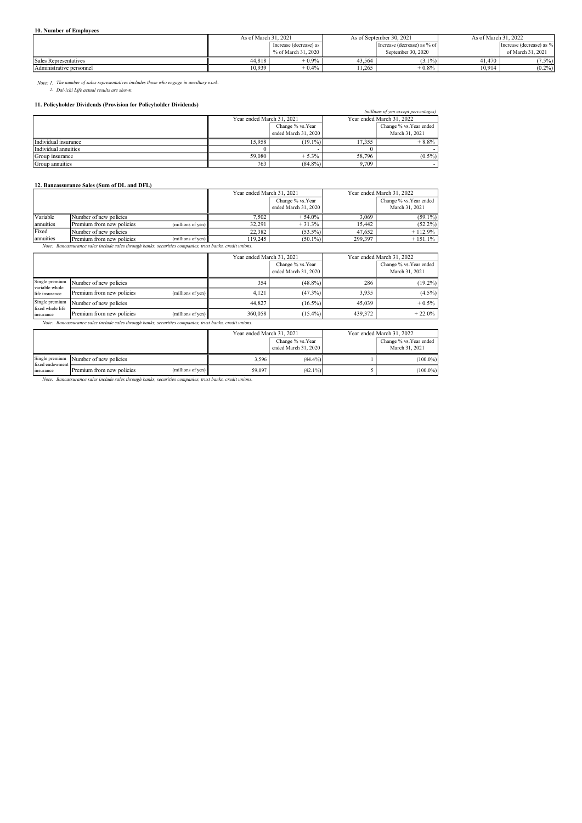#### 10. Number of Employees

|                          | As of March 31, 2021 |                          | As of September 30, 2021    |                    | As of March 31, 2022 |                          |
|--------------------------|----------------------|--------------------------|-----------------------------|--------------------|----------------------|--------------------------|
|                          |                      | Increase (decrease) as 1 | Increase (decrease) as % of |                    |                      | Increase (decrease) as % |
|                          |                      | % of March 31, 2020      |                             | September 30, 2020 |                      | of March 31, 2021        |
| Sales Representatives    | 44.818               | $+0.9%$                  | 43.564                      | $(3.1\%)$          | 41.470               | $7.5\%$                  |
| Administrative personnel | 10.939               | $+0.4\%$                 | 1.265                       | $+0.8%$            | 10.914               | $(0.2\%)$                |

Note: 1. The number of sales representatives includes those who engage in ancillary work. 2. Dai-ichi Life actual results are shown.

#### 11. Policyholder Dividends (Provision for Policyholder Dividends)

| 11. I oneyholder Dividends (110yision for 1 oneyholder Dividends) |                           |                      |                           |                         |  |  |  |
|-------------------------------------------------------------------|---------------------------|----------------------|---------------------------|-------------------------|--|--|--|
| (millions of yen except percentages)                              |                           |                      |                           |                         |  |  |  |
|                                                                   | Year ended March 31, 2021 |                      | Year ended March 31, 2022 |                         |  |  |  |
|                                                                   |                           | Change % vs.Year     |                           | Change % vs. Year ended |  |  |  |
|                                                                   |                           | ended March 31, 2020 |                           | March 31, 2021          |  |  |  |
| Individual insurance                                              | 15.958                    | $(19.1\%)$           | 17.355                    | $+8.8%$                 |  |  |  |
| Individual annuities                                              |                           |                      |                           |                         |  |  |  |
| Group insurance                                                   | 59,080                    | $+5.3\%$             | 58,796                    | $(0.5\%)$               |  |  |  |
| Group annuities                                                   | 763                       | $(84.8\%)$           | 9.709                     |                         |  |  |  |

### 12. Bancassurance Sales (Sum of DL and DFL)

|                           |   | Year ended March 31, 2021                      |                                                                                                                                                                                                                                  | Year ended March 31, 2022 |                                           |
|---------------------------|---|------------------------------------------------|----------------------------------------------------------------------------------------------------------------------------------------------------------------------------------------------------------------------------------|---------------------------|-------------------------------------------|
|                           |   |                                                | Change % vs.Year<br>ended March 31, 2020                                                                                                                                                                                         |                           | Change % vs. Year ended<br>March 31, 2021 |
| Number of new policies    |   | 7.502                                          | $+54.0%$                                                                                                                                                                                                                         | 3.069                     | $(59.1\%)$                                |
| Premium from new policies |   | 32.291                                         | $+31.3%$                                                                                                                                                                                                                         | 15,442                    | $(52.2\%)$                                |
| Number of new policies    |   | 22.382                                         |                                                                                                                                                                                                                                  | 47,652                    | $+112.9%$                                 |
| Premium from new policies |   | 119.245                                        |                                                                                                                                                                                                                                  | 299,397                   | $+151.1\%$                                |
|                           | . | (millions of yen) $\vert$<br>(millions of yen) | $\cdots$ . The contract of the contract of the contract of the contract of the contract of the contract of the contract of the contract of the contract of the contract of the contract of the contract of the contract of the c |                           | $(53.5\%)$<br>$(50.1\%)$                  |

Note: Bancassurance sales include sales through banks, securities companies, trust banks, credit unions.

|                                                                                                          |                           |                               | Year ended March 31, 2021<br>Change % vs. Year<br>ended March 31, 2020 |            |         | Year ended March 31, 2022<br>Change % vs. Year ended<br>March 31, 2021 |
|----------------------------------------------------------------------------------------------------------|---------------------------|-------------------------------|------------------------------------------------------------------------|------------|---------|------------------------------------------------------------------------|
| Single premium<br>variable whole                                                                         | Number of new policies    |                               | 354                                                                    | $(48.8\%)$ | 286     | $(19.2\%)$                                                             |
| life insurance                                                                                           | Premium from new policies | (millions of yen) $\parallel$ | 4.121                                                                  | $(47.3\%)$ | 3,935   | $(4.5\%)$                                                              |
| Single premium<br>fixed whole life                                                                       | Number of new policies    |                               | 44,827                                                                 | $(16.5\%)$ | 45,039  | $+0.5%$                                                                |
| insurance                                                                                                | Premium from new policies | (millions of yen) $\parallel$ | 360,058                                                                | $(15.4\%)$ | 439,372 | $+22.0%$                                                               |
| Note: Bancassurance sales include sales through banks, securities companies, trust banks, credit unions. |                           |                               |                                                                        |            |         |                                                                        |

|                                                             |                           |                               | Year ended March 31, 2021                 |            | Year ended March 31, 2022                 |             |
|-------------------------------------------------------------|---------------------------|-------------------------------|-------------------------------------------|------------|-------------------------------------------|-------------|
|                                                             |                           |                               | Change % vs. Year<br>ended March 31, 2020 |            | Change % vs. Year ended<br>March 31, 2021 |             |
| Single premium<br>fixed endowment <sup>1</sup><br>Insurance | Number of new policies    |                               | 3.596                                     | $(44.4\%)$ |                                           | $(100.0\%)$ |
|                                                             | Premium from new policies | (millions of yen) $\parallel$ | 59,097                                    | $(42.1\%)$ |                                           | $(100.0\%)$ |

Note: Bancassurance sales include sales through banks, securities companies, trust banks, credit unions.